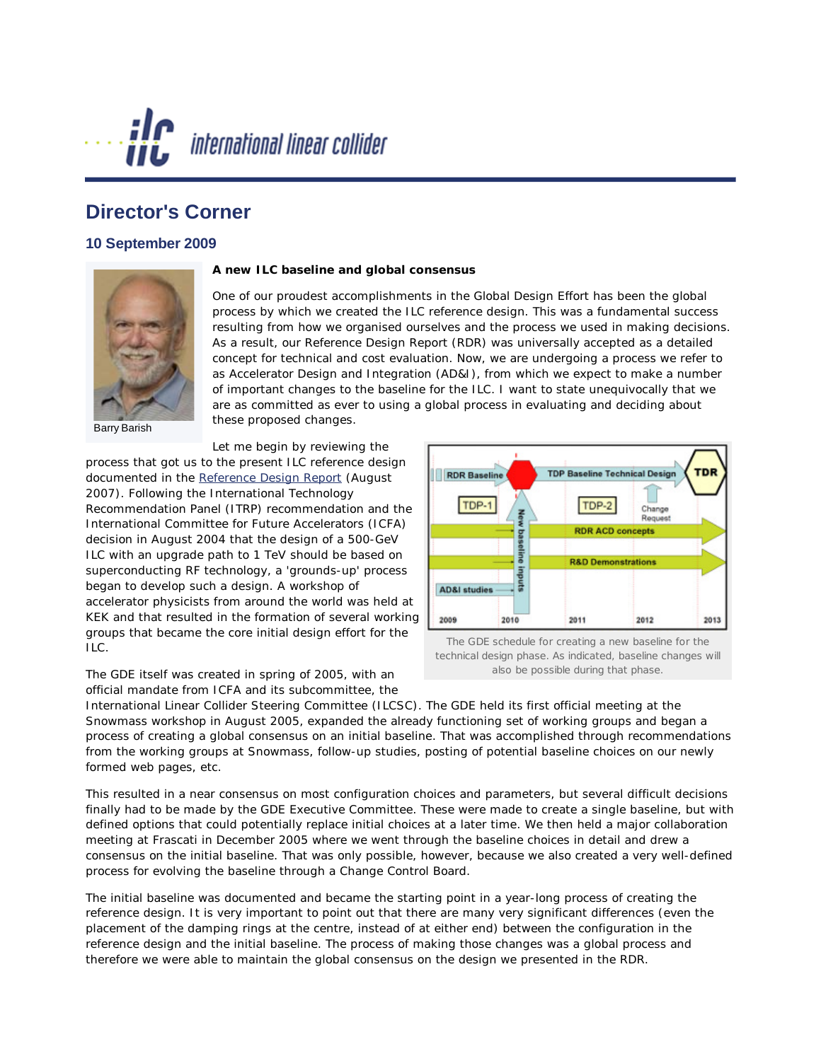

## **Director's Corner**

## **10 September 2009**



Barry Barish

## **A new ILC baseline and global consensus**

One of our proudest accomplishments in the Global Design Effort has been the global process by which we created the ILC reference design. This was a fundamental success resulting from how we organised ourselves and the process we used in making decisions. As a result, our *Reference Design Report* (RDR) was universally accepted as a detailed concept for technical and cost evaluation. Now, we are undergoing a process we refer to as Accelerator Design and Integration (AD&I), from which we expect to make a number of important changes to the baseline for the ILC. I want to state unequivocally that we are as committed as ever to using a global process in evaluating and deciding about these proposed changes.

Let me begin by reviewing the process that got us to the present ILC reference design documented in the *[Reference Design Report](http://www.linearcollider.org/cms/?pid=1000437)* (August 2007). Following the International Technology Recommendation Panel (ITRP) recommendation and the International *Committee* for Future Accelerators (ICFA) decision in August 2004 that the design of a 500-GeV ILC with an upgrade path to 1 TeV should be based on superconducting RF technology, a 'grounds-up' process began to develop such a design. A workshop of accelerator physicists from around the world was held at KEK and that resulted in the formation of several working groups that became the core initial design effort for the ILC.

The GDE itself was created in spring of 2005, with an official mandate from ICFA and its subcommittee, the



The GDE schedule for creating a new baseline for the technical design phase. As indicated, baseline changes will also be possible during that phase.

International Linear Collider Steering Committee (ILCSC). The GDE held its first official meeting at the Snowmass workshop in August 2005, expanded the already functioning set of working groups and began a process of creating a global consensus on an initial baseline. That was accomplished through recommendations from the working groups at Snowmass, follow-up studies, posting of potential baseline choices on our newly formed web pages, etc.

This resulted in a near consensus on most configuration choices and parameters, but several difficult decisions finally had to be made by the GDE Executive Committee. These were made to create a single baseline, but with defined options that could potentially replace initial choices at a later time. We then held a major collaboration meeting at Frascati in December 2005 where we went through the baseline choices in detail and drew a consensus on the initial baseline. That was only possible, however, because we also created a very well-defined process for evolving the baseline through a Change Control Board.

The initial baseline was documented and became the starting point in a year-long process of creating the reference design. It is very important to point out that there are many very significant differences (even the placement of the damping rings at the centre, instead of at either end) between the configuration in the reference design and the initial baseline. The process of making those changes was a global process and therefore we were able to maintain the global consensus on the design we presented in the RDR.